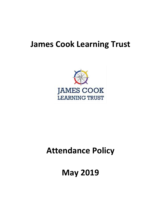# **James Cook Learning Trust**



# **Attendance Policy**

**May 2019**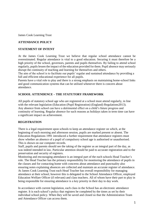James Cook Learning Trust

#### **ATTENDANCE POLICY**

#### **STATEMENT OF INTENT**

At the James Cook Learning Trust we believe that regular school attendance cannot be overestimated. Regular attendance is vital to a good education. Securing it must therefore be a high priority of the school, governors, parents and pupils themselves. By failing to attend school regularly, pupils lessen the impact of the education provided for them. Pupil absence may seriously disrupt the continuity of teaching and learning for themselves and others.

The aim of the school is to facilitate our pupils' regular and sustained attendance by providing a full and efficient educational experience for all pupils.

Parents have a vital role to play and there is a strong emphasis on maintaining home-school links and good communication systems that can be utilised whenever there is concern about attendance.

#### **SCHOOL ATTENDENCE – THE STATUTORY FRAMEWORK**

All pupils of statutory school age who are registered at a school must attend regularly, in line with the relevant legislation (Education (Pupil Registration) (England) Regulations2013). Any absence from school can have a detrimental effect on a child's future progress and continuity of learning. Regular absence for such reasons as holidays taken in term time can have a significant impact on achievement.

#### **REGISTRATION**

There is a legal requirement upon schools to keep an attendance register on which, at the beginning of each morning and afternoon session, pupils are marked present or absent. The Education Regulations 1991 introduced a further requirement that attendance registers must show whether an absence of a pupil of compulsory school age is authorised or unauthorised. This is shown on our computer records.

Staff, pupils and parents should see the taking of the register as an integral part of the day, as was indeed intended in law. Particular attention should be paid to accurate registration and to the preservation and security of registers.

Monitoring and encouraging attendance is an integral part of the each schools Head Teacher's role. The Head Teacher has the primary responsibility for monitoring the attendance of pupils in the classes and for contacting home with concerns about attendance and punctuality also ensuring notes explaining absences are collected and maintain an accurate register of attendance. At James Cook Learning Trust each Head Teacher has overall responsibility for managing attendance at their school; however this is delegated to the School Attendance Officer, employed Education Welfare Officer (if relevant) and class teachers. All of whom have their part to play in being responsible for ensuring attendance is a key priority in their day to day work.

In accordance with current legislation, each class in the School has an electronic attendance register. It is each school's policy that registers be completed by the times as set by their individual school policy. When they will be saved and closed so that the Administration Team and Attendance Officer can access them.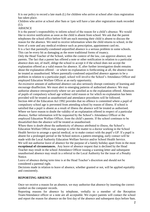It is our policy to record a late mark (L) for children who arrive at school after class registration has taken place.

Children who arrive at school after 9am or 1pm will have a late after registration mark recorded (U).

#### ABSENCE

It is the parent's responsibility to inform school of the reason for a child's absence. We would like to receive notification as soon as the child is absent from school. We ask that the parent telephones the school office before 9.00 am each morning their child is absent to discuss the reason for the absence. We need to receive information when the child returns to school, in the form of a note and any medical evidence such as prescription, appointment card etc. It is a fact that parentally-condoned unjustified absence is a serious problem in some schools. This can be every bit as damaging as the more traditional forms of truancy.

Only the Head Teacher of the School, within the context of the law, can approve absence, not parents. The fact that a parent has offered a note or other notification in relation to a particular absence does not, of itself, oblige the school to accept it if the school does not accept the explanation offered as a valid reason for absence. If, after further investigation doubt remains about the explanation offered – or where no explanation is forthcoming at all, the absence must be treated as unauthorised. Where parentally-condoned unjustified absence appears to be a problem in relation to a particular pupil, school will involve the School's Attendance Officer and employed Education Welfare Officer at an early opportunity.

An excessive amount of authorised absence can also seriously disrupt continuity of learning and encourage disaffection. We must alert to emerging patterns of authorised absence. We may authorise absence retrospectively where we are satisfied as to the explanation offered. Absences of pupils of compulsory school age without valid reason or for which no explanation has been provided will be treated as unauthorised and attendance procedures will be followed. Section 444 of the Education Act 1992 provides that no offence is committed where a pupil of compulsory school age is prevented from attending school by reason of illness. If school is satisfied that a pupil is absent as a result of illness the absence will be treated as authorised. Where we have reason to doubt the validity of an explanation offered in respect of a particular absence, further information will be requested by the School's Attendance Officer or the employed Education Welfare Officer, from the child's parents. If the school continues to be dissatisfied then the absence will be treated as unauthorised.

Where there is doubt about the authenticity of absence attributed to illness, the School's Education Welfare Officer may attempt to refer the matter to a doctor working in the School Health Service to arrange a special medical, or to make contact with the pupil's GP. If a pupil is absent for a prolonged period or the School notices a pattern emerging, early contact will be made with the Local Authority Education Welfare Service and/or School Health Service. We will not authorise leave of absence for the purpose of a family holiday apart from in the most **exceptional of circumstances.** Any leave of absence request that is declined by the Head Teacher may result in the school Attendance Officer issuing a warning letter and subsequent unauthorised absence may result in a referral to the Local Authority for the issue of a Penalty Notice.

Leave of absence during term time is at the Head Teacher's discretion and should not be considered a parental right.

Decisions made in relation to leave of absence, whether granted or not, will be applied equitably and consistently.

### **REPORTING ABSENCE**

Once we receive a reason for an absence, we may authorise that absence by inserting the correct symbol on the computer records.

Reporting reasons for absence by telephone, verbally to a member of the Reception Team/Attendance officer or a note are all acceptable. We expect parents will contact the school and report the reason for absence on the first day of the absence and subsequent days before 9am.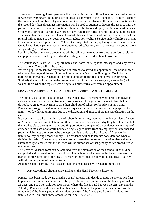James Cook Learning Trust operates a first day calling system. If we have not received a reason for absence by 9.30 am on the first day of absence a member of the Attendance Team will contact the home contact number to try and ascertain the reason for absence. If the absence continues to the second day then all contact information will be used to attempt to discuss the absence with the parent. If however the absence continues these will be followed up by the School's Attendance Officer and / or paid Education Welfare Officer. Where concerns continue and/or a pupil has had 10 consecutive days or more of unauthorised absence from school and no contact is made, a referral will be made to the Local Authority Education Welfare Service under Children Missing Education/attendance procedures. Where it is suspected that a pupil may be at risk of Female Genital Mutilation (FGM), sexual exploitation, radicalisation, or is a runaway or young carer safeguarding procedures will be followed.

Local Authority attendance procedures will be followed in relation to school transfers, exclusions and pupils' who are duel registered and attending alternative educational provision.

The Attendance Team will keep all notes and notes of telephone messages and any verbal explanations. These will all be dated.

Where a pupil is present for registration but then has to attend an appointment, the School need take no action beyond the staff in school recording the fact in the Signing out Book for the purpose of emergency evacuation. The pupil although registered is not physically present. Similarly the School must note the presence of a pupil (again for emergency evacuation) who was not there when the register was being taken but returns later from an appointment.

## **LEAVE OF ABSENCE IN TERM TIME INCLUDING FAMILY HOLIDAY**

The Pupil Registration Regulations 2013 state that Head Teachers may not grant any leave of absence unless there are **exceptional circumstances.** The legislation makes it clear that parents do not have an automatic right to take their child out of school for holidays in term time. Parents are strongly urged to avoid making requests for leave of absence for the purpose of a family holiday during term time due to the disruption and impact of the missed education on the child.

If parents wish to take their child out of school in term time, then they should complete a Leave of Absence form and must state in full their reasons for the absence, why they feel it is essential that it takes place during term time and if appropriate accompanied by evidence. An example of evidence in the case of a family holiday being a signed letter from an employer on letter headed paper, which states the reason why the applicant is unable to take a Leave of Absence for a family holiday during school holiday. The evidence will be taken into consideration when a decision is made. However, applicants must be aware that the submission of evidence does not automatically guarantee that the absence will be authorised or that penalty notice procedures will not be followed.

The leave of Absence form can be obtained from the main office of each school. It should be completed and returned to the office at least four school weeks prior to the leave been taken and marked for the attention of the Head Teacher for individual consideration. The Head Teacher will inform the parent of their decision.

At James Cook Learning Trust, exceptional circumstances have been determined as:

• Any exceptional circumstance arising, at the Head Teacher's discretion.

Parents have been made aware that the Local Authority will decide to issue penalty notice fines to parents. Currently the amounts are £60 per child for each parent where the fine is paid within 21 days, and £120 per child for each parent where the fine is paid between the 21st day and the 28th day. Parents should be aware that this means a family of 2 parents and 2 children will be fined £240 if the fine is paid within 21 days or £480 if the fine is paid from 21-28 days. For families with 3 children, these amounts would be £360/£720.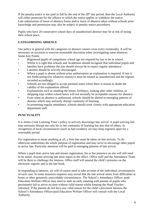If the penalty notice is not paid in full by the end of the  $28<sup>th</sup>$  day period, then the Local Authority will either prosecute for the offence to which the notice applies or withdraw the notice. Late submissions of leave of absence forms and/or leave of absence taken without schools prior knowledge and permission may also be subject to penalty notice procedures.

Pupils who have 20 consecutive school days of unauthorised absence may be at risk of losing their school place.

# **CATEGORISING ABSENCE**

Our policy in general with the categories of absence cannot cover every eventuality. It will be necessary on occasion to exercise reasonable discretion when investigating some absences. Some Key Points:

- Registered pupils of compulsory school age are required by law to be in school.
- Whilst it is right that schools and Academies should recognise that individual pupils and families have problems the aim should always be to expect regular attendance.
- Lateness should be actively discouraged.
- Where a pupil is absent without prior authorisation an explanation is required. If one is not forthcoming (for whatever reason) it must be treated as unauthorised and the register recorded accordingly.
- Schools are not obliged to accept parental notes where there is reason to doubt the validity of the explanation offered.
- Explanations such as minding the house, birthdays, looking after other children, or shopping trips within school hours will not normally be acceptable reasons for absence.
- Even when an absence is authorised, schools should be alerted to emerging patterns of absence which may seriously disrupt continuity of learning.
- In promoting regular attendance, schools should work closely with appropriate education department staff.

# **PUNCTUALITY**

It is James Cook Learning Trust's policy to actively discourage late arrival. A pupil arriving late may seriously disrupt not only his or her continuity of learning but also that of others. In recognition of local circumstances (such as bad weather), we may keep registers open for a reasonable period.

For registration to mean anything at all, a firm line must be taken on late arrivals. To do otherwise undermines the whole purpose of registration and may serve to encourage other pupils to arrive late. Particular attention will be paid to emerging patterns of late arrival.

Where a pupil does arrive late and misses registration, his or her presence on site will still need to be noted. Anyone arriving late must report to the office. Office staff and the Attendance Team will be there to challenge the lateness. Office staff will amend the child's presence on the electronic register and in the late book.

In responding to lateness, we will of course need to take account of the individual circumstances of each case. In some instances enquires may reveal that the late arrival stems from difficulties at home or other genuinely unavoidable circumstances. The School's Attendance Officer/paid Education Welfare Officer may need to seek an early meeting with parents of pupils who persistently fail to arrive on time without valid reason whilst keeping the Head Teacher informed. If the parents do not have any valid reason for the child's persistent lateness the School's Attendance Officer/paid Education Welfare Officer will consult with the Local Authority.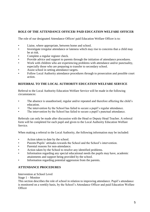## **ROLE OF THE ATTENDANCE OFFICER/ PAID EDUCATION WELFARE OFFICER**

The role of our designated Attendance Officer/ paid Education Welfare Officer is to:

- Liaise, where appropriate, between home and school.
- Investigate irregular attendance or lateness which may rise to concerns that a child may be at risk.
- Complete a regular register check.
- Provide advice and support to parents through the initiation of attendance procedures.
- Work with children who are experiencing problems with attendance and/or punctuality, especially those who are preparing to transfer to secondary school.
- Assist school in setting attendance targets.
- Follow Local Authority attendance procedures through to prosecution and possible court action.

# **REFERRAL TO THE LOCAL AUTHORITY EDUCATION WELFARE SERVICE**

Referral to the Local Authority Education Welfare Service will be made in the following circumstances:

- The absence is unauthorised, regular and/or repeated and therefore affecting the child's education.
- The intervention by the School has failed to secure a pupil's regular attendance.
- The intervention by the School has failed to secure a pupil's punctual attendance.

Referrals can only be made after discussion with the Head or Deputy Head Teacher. A referral form will be completed for each pupil and given to the Local Authority Education Welfare Service.

When making a referral to the Local Authority, the following information may be included:

- Action taken to date by the school.
- Parents/Pupils' attitudes towards the School and the School's intervention.
- Parental reasons for non-attendance.
- Action taken by the School to resolve any identified problems.
- Information regarding any special educational needs the pupils may have, academic attainments and support being provided by the school.
- Information regarding potential aggression from the parents.

## **ATTENDANCE PROCEDURES**

Intervention at School Level

Stage 1 – Monitor

This section describes the role of school in relation to improving attendance. Pupil's attendance is monitored on a weekly basis, by the School's Attendance Officer and paid Education Welfare **Officer**